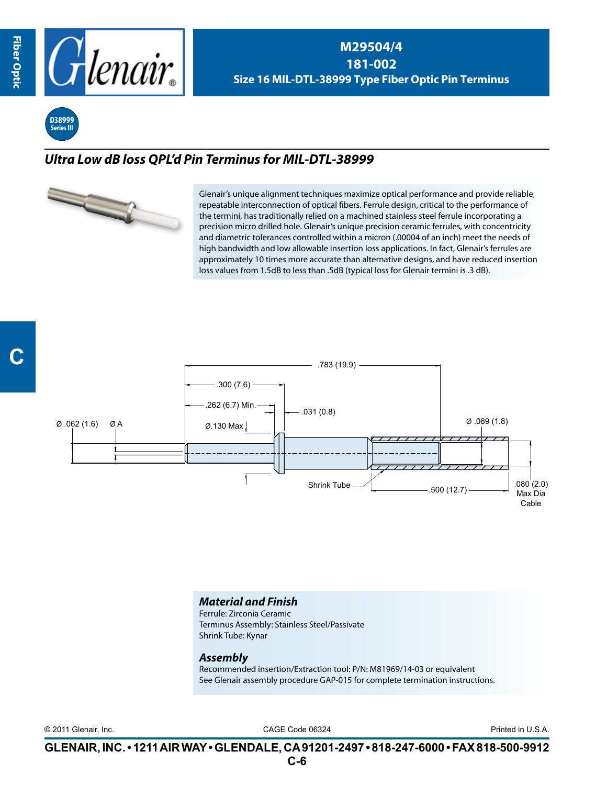

**M29504/4 181-002 Size 16 MIL-DTL-38999 Type Fiber Optic Pin Terminus**

**D38999 Series III**

## *Ultra Low dB loss QPL'd Pin Terminus for MIL-DTL-38999*



Glenair's unique alignment techniques maximize optical performance and provide reliable, repeatable interconnection of optical fibers. Ferrule design, critical to the performance of the termini, has traditionally relied on a machined stainless steel ferrule incorporating a precision micro drilled hole. Glenair's unique precision ceramic ferrules, with concentricity and diametric tolerances controlled within a micron (.00004 of an inch) meet the needs of high bandwidth and low allowable insertion loss applications. In fact, Glenair's ferrules are approximately 10 times more accurate than alternative designs, and have reduced insertion loss values from 1.5dB to less than .5dB (typical loss for Glenair termini is .3 dB).



## *Material and Finish*

Ferrule: Zirconia Ceramic Terminus Assembly: Stainless Steel/Passivate Shrink Tube: Kynar

## *Assembly*

Recommended insertion/Extraction tool: P/N: M81969/14-03 or equivalent See Glenair assembly procedure GAP-015 for complete termination instructions.

CAGE Code 06324 © 2011 Glenair, Inc. Printed in U.S.A.